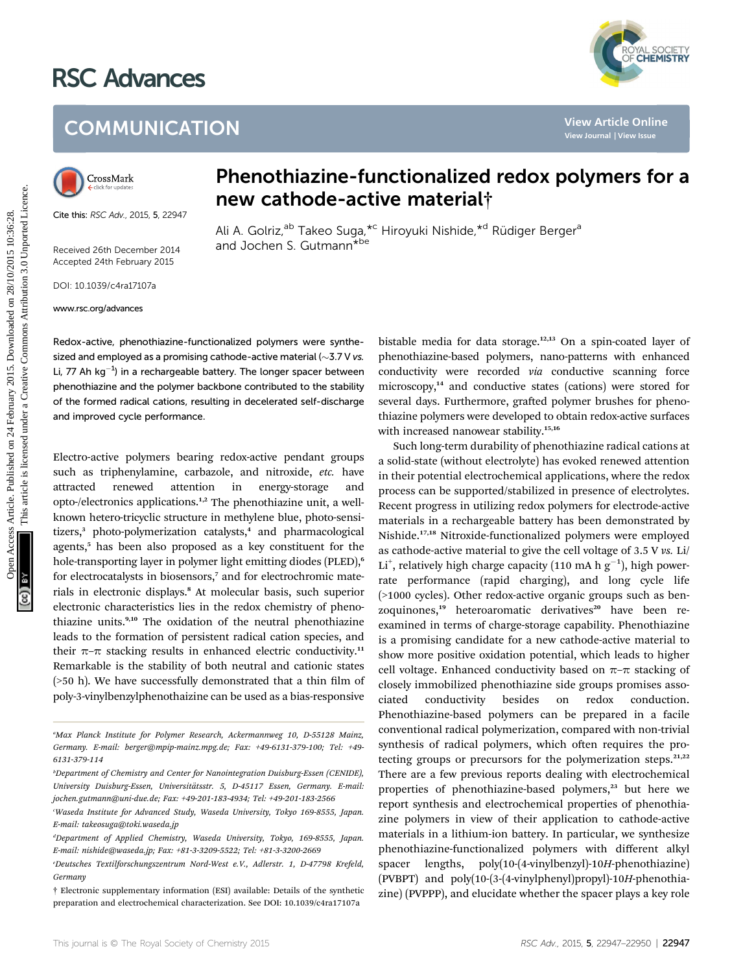# RSC Advances



## **COMMUNICATION**



Cite this: RSC Adv., 2015, 5, 22947

Received 26th December 2014 Accepted 24th February 2015

DOI: 10.1039/c4ra17107a

www.rsc.org/advances

### Phenothiazine-functionalized redox polymers for a new cathode-active material†

Ali A. Golriz,<sup>ab</sup> Takeo Suga,<sup>\*c</sup> Hiroyuki Nishide,<sup>\*d</sup> Rüdiger Berger<sup>a</sup> and Jochen S. Gutmann<sup>\*be</sup>

Redox-active, phenothiazine-functionalized polymers were synthesized and employed as a promising cathode-active material ( $\sim$ 3.7 V vs. Li, 77 Ah  $kg^{-1}$ ) in a rechargeable battery. The longer spacer between phenothiazine and the polymer backbone contributed to the stability of the formed radical cations, resulting in decelerated self-discharge and improved cycle performance.

Electro-active polymers bearing redox-active pendant groups such as triphenylamine, carbazole, and nitroxide, etc. have attracted renewed attention in energy-storage and opto-/electronics applications.1,2 The phenothiazine unit, a wellknown hetero-tricyclic structure in methylene blue, photo-sensitizers,<sup>3</sup> photo-polymerization catalysts,<sup>4</sup> and pharmacological agents,<sup>5</sup> has been also proposed as a key constituent for the hole-transporting layer in polymer light emitting diodes (PLED),<sup>6</sup> for electrocatalysts in biosensors,<sup>7</sup> and for electrochromic materials in electronic displays.<sup>8</sup> At molecular basis, such superior electronic characteristics lies in the redox chemistry of phenothiazine units.<sup>9,10</sup> The oxidation of the neutral phenothiazine leads to the formation of persistent radical cation species, and their  $\pi$ – $\pi$  stacking results in enhanced electric conductivity.<sup>11</sup> Remarkable is the stability of both neutral and cationic states  $($ >50 h). We have successfully demonstrated that a thin film of poly-3-vinylbenzylphenothaizine can be used as a bias-responsive

bistable media for data storage.12,13 On a spin-coated layer of phenothiazine-based polymers, nano-patterns with enhanced conductivity were recorded via conductive scanning force microscopy,<sup>14</sup> and conductive states (cations) were stored for several days. Furthermore, grafted polymer brushes for phenothiazine polymers were developed to obtain redox-active surfaces with increased nanowear stability.<sup>15,16</sup>

Such long-term durability of phenothiazine radical cations at a solid-state (without electrolyte) has evoked renewed attention in their potential electrochemical applications, where the redox process can be supported/stabilized in presence of electrolytes. Recent progress in utilizing redox polymers for electrode-active materials in a rechargeable battery has been demonstrated by Nishide.17,18 Nitroxide-functionalized polymers were employed as cathode-active material to give the cell voltage of 3.5 V vs. Li/ Li<sup>+</sup>, relatively high charge capacity (110 mA h  $g^{-1}$ ), high powerrate performance (rapid charging), and long cycle life (>1000 cycles). Other redox-active organic groups such as benzoquinones,<sup>19</sup> heteroaromatic derivatives<sup>20</sup> have been reexamined in terms of charge-storage capability. Phenothiazine is a promising candidate for a new cathode-active material to show more positive oxidation potential, which leads to higher cell voltage. Enhanced conductivity based on  $\pi-\pi$  stacking of closely immobilized phenothiazine side groups promises associated conductivity besides on redox conduction. Phenothiazine-based polymers can be prepared in a facile conventional radical polymerization, compared with non-trivial synthesis of radical polymers, which often requires the protecting groups or precursors for the polymerization steps.<sup>21,22</sup> There are a few previous reports dealing with electrochemical properties of phenothiazine-based polymers,<sup>23</sup> but here we report synthesis and electrochemical properties of phenothiazine polymers in view of their application to cathode-active materials in a lithium-ion battery. In particular, we synthesize phenothiazine-functionalized polymers with different alkyl spacer lengths, poly(10-(4-vinylbenzyl)-10H-phenothiazine) (PVBPT) and poly(10-(3-(4-vinylphenyl)propyl)-10H-phenothiazine) (PVPPP), and elucidate whether the spacer plays a key role COMMUNICATION<br>
Close Mark **Phenothiazine-functionalized redox polymers for<br>
the value of the state of the constraints and docher S. Gutmann<sup>38</sup><br>
Six as**  $\frac{1}{2}$  **and docher S. Gutmann<sup>38</sup><br>
Six as**  $\frac{1}{2}$  **and docher S. G** 

a Max Planck Institute for Polymer Research, Ackermannweg 10, D-55128 Mainz, Germany. E-mail: berger@mpip-mainz.mpg.de; Fax: +49-6131-379-100; Tel: +49- 6131-379-114

b Department of Chemistry and Center for Nanointegration Duisburg-Essen (CENIDE), University Duisburg-Essen, Universitatsstr. 5, D-45117 Essen, Germany. E-mail: ¨ jochen.gutmann@uni-due.de; Fax: +49-201-183-4934; Tel: +49-201-183-2566

c Waseda Institute for Advanced Study, Waseda University, Tokyo 169-8555, Japan. E-mail: takeosuga@toki.waseda.jp

<sup>&</sup>lt;sup>a</sup>Department of Applied Chemistry, Waseda University, Tokyo, 169-8555, Japan. E-mail: nishide@waseda.jp; Fax: +81-3-3209-5522; Tel: +81-3-3200-2669

e Deutsches Textilforschungszentrum Nord-West e.V., Adlerstr. 1, D-47798 Krefeld, Germany

<sup>†</sup> Electronic supplementary information (ESI) available: Details of the synthetic preparation and electrochemical characterization. See DOI: 10.1039/c4ra17107a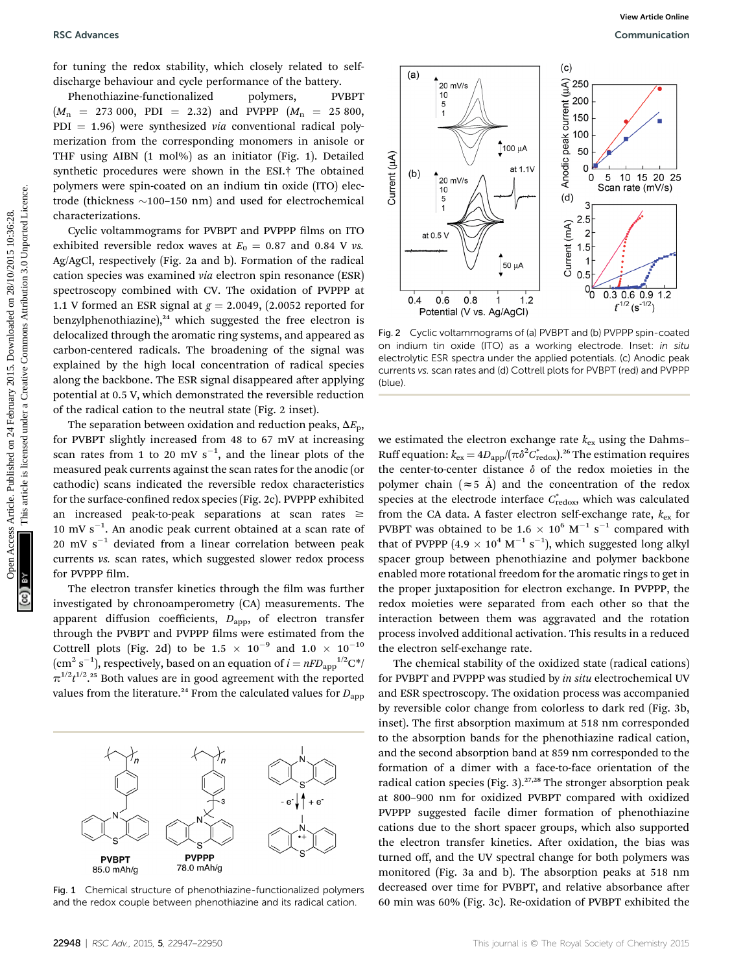for tuning the redox stability, which closely related to selfdischarge behaviour and cycle performance of the battery.

Phenothiazine-functionalized polymers, PVBPT  $(M_n = 273\ 000, \ \text{PDI} = 2.32) \ \text{and} \ \text{PVPPP} \ (M_n = 25\ 800,$  $PDI = 1.96$ ) were synthesized *via* conventional radical polymerization from the corresponding monomers in anisole or THF using AIBN (1 mol%) as an initiator (Fig. 1). Detailed synthetic procedures were shown in the ESI.† The obtained polymers were spin-coated on an indium tin oxide (ITO) electrode (thickness  $\sim$ 100–150 nm) and used for electrochemical characterizations.

Cyclic voltammograms for PVBPT and PVPPP films on ITO exhibited reversible redox waves at  $E_0 = 0.87$  and 0.84 V vs. Ag/AgCl, respectively (Fig. 2a and b). Formation of the radical cation species was examined via electron spin resonance (ESR) spectroscopy combined with CV. The oxidation of PVPPP at 1.1 V formed an ESR signal at  $g = 2.0049$ , (2.0052 reported for benzylphenothiazine), $24$  which suggested the free electron is delocalized through the aromatic ring systems, and appeared as carbon-centered radicals. The broadening of the signal was explained by the high local concentration of radical species along the backbone. The ESR signal disappeared after applying potential at 0.5 V, which demonstrated the reversible reduction of the radical cation to the neutral state (Fig. 2 inset).

The separation between oxidation and reduction peaks,  $\Delta E_p$ , for PVBPT slightly increased from 48 to 67 mV at increasing scan rates from 1 to 20 mV  $s^{-1}$ , and the linear plots of the measured peak currents against the scan rates for the anodic (or cathodic) scans indicated the reversible redox characteristics for the surface-confined redox species (Fig. 2c). PVPPP exhibited an increased peak-to-peak separations at scan rates  $\geq$ 10 mV  $s^{-1}$ . An anodic peak current obtained at a scan rate of 20 mV  $s^{-1}$  deviated from a linear correlation between peak currents vs. scan rates, which suggested slower redox process for PVPPP film.

The electron transfer kinetics through the film was further investigated by chronoamperometry (CA) measurements. The apparent diffusion coefficients,  $D_{\text{app}}$ , of electron transfer through the PVBPT and PVPPP films were estimated from the Cottrell plots (Fig. 2d) to be 1.5  $\times$  10<sup>-9</sup> and 1.0  $\times$  10<sup>-10</sup>  $(\text{cm}^2 \text{ s}^{-1})$ , respectively, based on an equation of  $i = nFD_{\text{app}}^{-1/2} \text{C}^*$ /  $\pi^{1/2} t^{1/2}$ .<sup>25</sup> Both values are in good agreement with the reported values from the literature.<sup>24</sup> From the calculated values for  $D_{\rm app}$ 



Fig. 1 Chemical structure of phenothiazine-functionalized polymers and the redox couple between phenothiazine and its radical cation.



Fig. 2 Cyclic voltammograms of (a) PVBPT and (b) PVPPP spin-coated on indium tin oxide (ITO) as a working electrode. Inset: in situ electrolytic ESR spectra under the applied potentials. (c) Anodic peak currents vs. scan rates and (d) Cottrell plots for PVBPT (red) and PVPPP (blue).

we estimated the electron exchange rate  $k_{ex}$  using the Dahms– Ruff equation:  $k_{\rm ex} = 4D_{\rm app}/(\pi\delta^2C^*_{\rm redox})^{26}$  The estimation requires the center-to-center distance  $\delta$  of the redox moieties in the polymer chain ( $\approx$  5 Å) and the concentration of the redox species at the electrode interface  $C^*_{\text{redox}}$ , which was calculated from the CA data. A faster electron self-exchange rate,  $k_{ex}$  for PVBPT was obtained to be 1.6  $\times$  10<sup>6</sup> M<sup>-1</sup> s<sup>-1</sup> compared with that of PVPPP  $(4.9 \times 10^4 \text{ M}^{-1} \text{ s}^{-1})$ , which suggested long alkyl spacer group between phenothiazine and polymer backbone enabled more rotational freedom for the aromatic rings to get in the proper juxtaposition for electron exchange. In PVPPP, the redox moieties were separated from each other so that the interaction between them was aggravated and the rotation process involved additional activation. This results in a reduced the electron self-exchange rate.

The chemical stability of the oxidized state (radical cations) for PVBPT and PVPPP was studied by in situ electrochemical UV and ESR spectroscopy. The oxidation process was accompanied by reversible color change from colorless to dark red (Fig. 3b, inset). The first absorption maximum at 518 nm corresponded to the absorption bands for the phenothiazine radical cation, and the second absorption band at 859 nm corresponded to the formation of a dimer with a face-to-face orientation of the radical cation species (Fig. 3).<sup>27,28</sup> The stronger absorption peak at 800–900 nm for oxidized PVBPT compared with oxidized PVPPP suggested facile dimer formation of phenothiazine cations due to the short spacer groups, which also supported the electron transfer kinetics. After oxidation, the bias was turned off, and the UV spectral change for both polymers was monitored (Fig. 3a and b). The absorption peaks at 518 nm decreased over time for PVBPT, and relative absorbance after 60 min was 60% (Fig. 3c). Re-oxidation of PVBPT exhibited the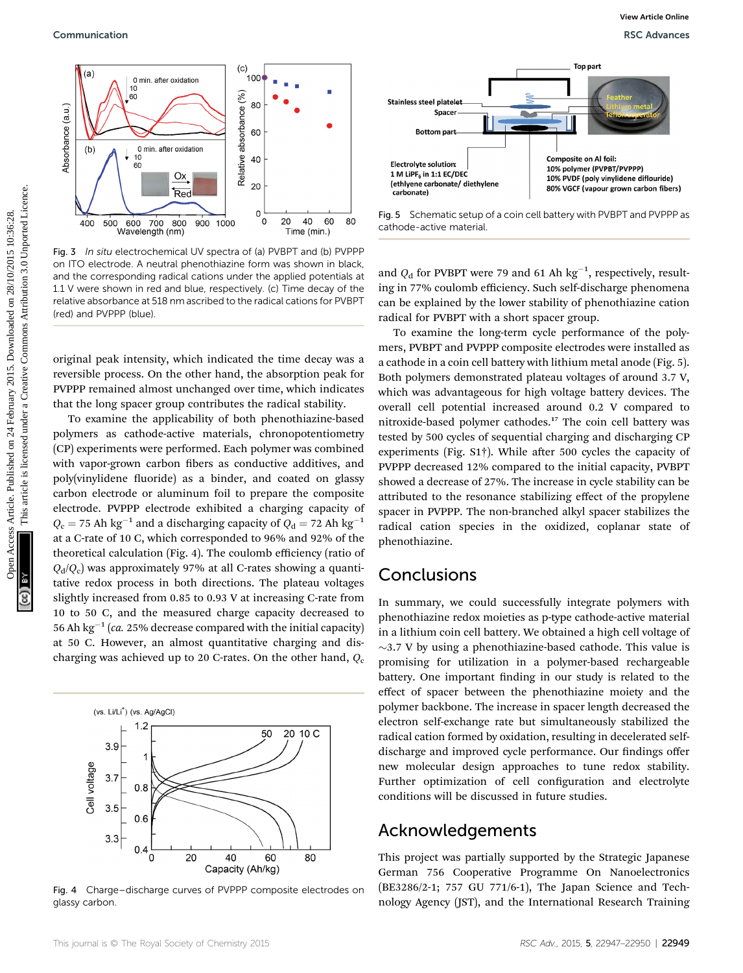

Fig. 3 In situ electrochemical UV spectra of (a) PVBPT and (b) PVPPP on ITO electrode. A neutral phenothiazine form was shown in black, and the corresponding radical cations under the applied potentials at 1.1 V were shown in red and blue, respectively. (c) Time decay of the relative absorbance at 518 nm ascribed to the radical cations for PVBPT (red) and PVPPP (blue).

original peak intensity, which indicated the time decay was a reversible process. On the other hand, the absorption peak for PVPPP remained almost unchanged over time, which indicates that the long spacer group contributes the radical stability.

To examine the applicability of both phenothiazine-based polymers as cathode-active materials, chronopotentiometry (CP) experiments were performed. Each polymer was combined with vapor-grown carbon fibers as conductive additives, and poly(vinylidene fluoride) as a binder, and coated on glassy carbon electrode or aluminum foil to prepare the composite electrode. PVPPP electrode exhibited a charging capacity of  $Q_c = 75$  Ah kg<sup>-1</sup> and a discharging capacity of  $Q_d = 72$  Ah kg<sup>-1</sup> at a C-rate of 10 C, which corresponded to 96% and 92% of the theoretical calculation (Fig. 4). The coulomb efficiency (ratio of  $Q_d/Q_c$ ) was approximately 97% at all C-rates showing a quantitative redox process in both directions. The plateau voltages slightly increased from 0.85 to 0.93 V at increasing C-rate from 10 to 50 C, and the measured charge capacity decreased to 56 Ah kg<sup>-1</sup> (ca. 25% decrease compared with the initial capacity) at 50 C. However, an almost quantitative charging and discharging was achieved up to 20 C-rates. On the other hand,  $Q_c$ 



Fig. 4 Charge–discharge curves of PVPPP composite electrodes on glassy carbon.



Fig. 5 Schematic setup of a coin cell battery with PVBPT and PVPPP as cathode-active material.

and  $Q_d$  for PVBPT were 79 and 61 Ah  $\text{kg}^{-1}$ , respectively, resulting in 77% coulomb efficiency. Such self-discharge phenomena can be explained by the lower stability of phenothiazine cation radical for PVBPT with a short spacer group.

To examine the long-term cycle performance of the polymers, PVBPT and PVPPP composite electrodes were installed as a cathode in a coin cell battery with lithium metal anode (Fig. 5). Both polymers demonstrated plateau voltages of around 3.7 V, which was advantageous for high voltage battery devices. The overall cell potential increased around 0.2 V compared to nitroxide-based polymer cathodes.<sup>17</sup> The coin cell battery was tested by 500 cycles of sequential charging and discharging CP experiments (Fig.  $S1\dagger$ ). While after 500 cycles the capacity of PVPPP decreased 12% compared to the initial capacity, PVBPT showed a decrease of 27%. The increase in cycle stability can be attributed to the resonance stabilizing effect of the propylene spacer in PVPPP. The non-branched alkyl spacer stabilizes the radical cation species in the oxidized, coplanar state of phenothiazine. Communication New York (Communication New York (Communication New York (Communication New York (Communication New York (Communication 2013)<br>
The communication of Creative Communication 3.0 Unport and Communication 3.0 Unp

#### Conclusions

In summary, we could successfully integrate polymers with phenothiazine redox moieties as p-type cathode-active material in a lithium coin cell battery. We obtained a high cell voltage of  $\sim$ 3.7 V by using a phenothiazine-based cathode. This value is promising for utilization in a polymer-based rechargeable battery. One important finding in our study is related to the effect of spacer between the phenothiazine moiety and the polymer backbone. The increase in spacer length decreased the electron self-exchange rate but simultaneously stabilized the radical cation formed by oxidation, resulting in decelerated selfdischarge and improved cycle performance. Our findings offer new molecular design approaches to tune redox stability. Further optimization of cell configuration and electrolyte conditions will be discussed in future studies.

#### Acknowledgements

This project was partially supported by the Strategic Japanese German 756 Cooperative Programme On Nanoelectronics (BE3286/2-1; 757 GU 771/6-1), The Japan Science and Technology Agency (JST), and the International Research Training